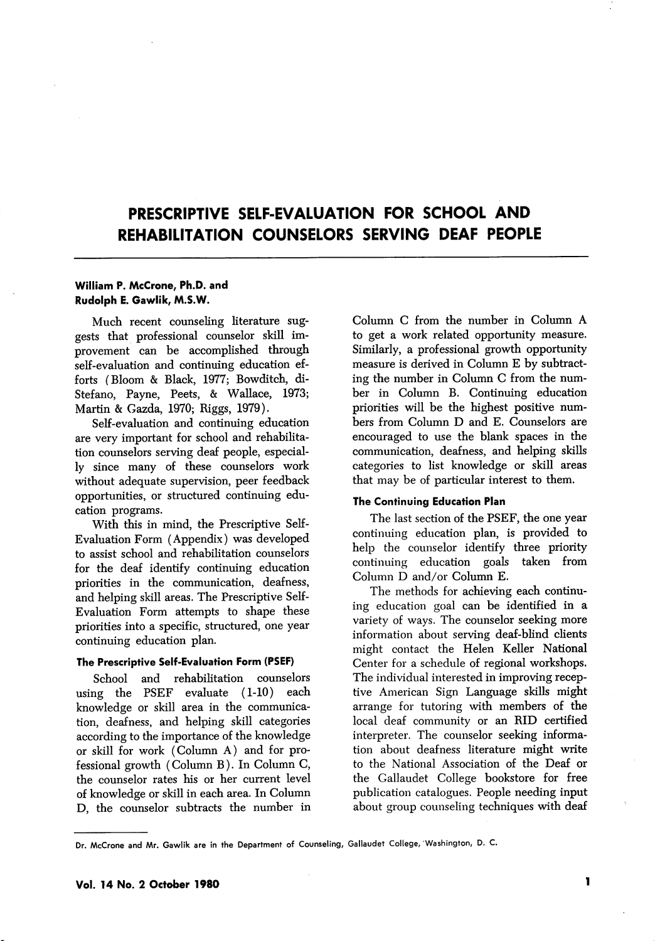# PRESCRIPTIVE SELF-EVALUATION FOR SCHOOL AND REHABILITATION COUNSELORS SERVING DEAF PEOPLE

### William P. McCrone, Ph.D. and Rudolph E. Gawlik, M.S.W.

Much recent counseling literature sug gests that professional counselor skill im provement can be accomplished through self-evaluation and continuing education ef forts (Bloom & Black, 1977; Bowditch, di-Stefano, Payne, Peets, & Wallace, 1973; Martin & Gazda, 1970; Biggs, 1979).

Self-evaluation and continuing education are very important for school and rehabilita tion counselors serving deaf people, especial ly since many of these counselors work without adequate supervision, peer feedback opportunities, or structured continuing edu cation programs.

With this in mind, the Prescriptive Self-Evaluation Form (Appendix) was developed to assist school and rehabilitation counselors for the deaf identify continuing education priorities in the communication, deafness, and helping skill areas. The Prescriptive Self-Evaluation Form attempts to shape these priorities into a specific, structured, one year continuing education plan.

#### The Prescriptive Self-Evaluation Form (PSEF)

School and rehabilitation counselors using the PSEF evaluate (1-10) each knowledge or skill area in the communica tion, deafness, and helping skill categories according to the importance of the knowledge or skill for work (Column A) and for pro fessional growth (Column B). In Column C, the counselor rates his or her current level of knowledge or skill in each area. In Column D, the counselor subtracts the number in

Column C from the number in Column A to get a work related opportunity measure. Similarly, a professional growth opportunity measure is derived in Column E by subtract ing the number in Column C from the num ber in Column B. Continuing education priorities will be the highest positive num bers from Column D and E. Counselors are encouraged to use the blank spaces in the communication, deafness, and helping skills categories to list knowledge or skill areas that may be of particular interest to them.

### The Continuing Education Plan

The last section of the PSEF, the one year continuing education plan, is provided to help the counselor identify three priority continuing education goals taken from Column D and/or Column E.

The methods for achieving each continu ing education goal can be identified in a variety of ways. The counselor seeking more information about serving deaf-blind clients might contact the Helen Keller National Center for a schedule of regional workshops. The individual interested in improving recep tive American Sign Language skills might arrange for tutoring with members of the local deaf community or an RID certified interpreter. The counselor seeking informa tion about deafness literature might write to the National Association of the Deaf or the Callaudet College bookstore for free publication catalogues. People needing input about group counseling techniques with deaf

Dr. McCrone and Mr. Gawlik are in the Department of Counseling, Gallaudet College, 'Washington, D. C.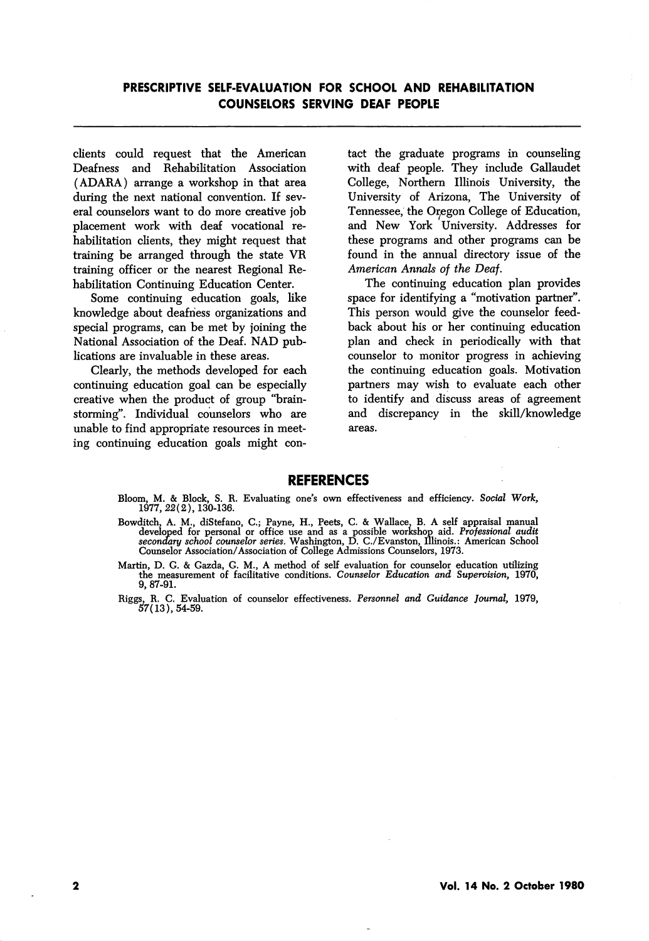clients could request that the American Deafness and Rehabilitation Association (ADARA) arrange a workshop in that area during the next national convention. If sev eral counselors want to do more creative job placement work with deaf vocational re habilitation clients, they might request that training be arranged through the state VR training officer or the nearest Regional Re habilitation Continuing Education Center.

Some continuing education goals, like knowledge about deafness organizations and special programs, can be met by joining the National Association of the Deaf. NAD pub lications are invaluable in these areas.

Clearly, the methods developed for each continuing education goal can be especially creative when the product of group "brainstorming\*'. Individual counselors who are unable to find appropriate resources in meet ing continuing education goals might con

tact the graduate programs in counseling with deaf people. They include Gallaudet College, Northern Illinois University, the University of Arizona, The University of Tennessee, the Oregon College of Education, and New York University. Addresses for these programs and other programs can be found in the annual directory issue of the American Annals of the Deaf.

The continuing education plan provides space for identifying a "motivation partner". This person would give the counselor feed back about his or her continuing education plan and check in periodically with that counselor to monitor progress in achieving the continuing education goals. Motivation partners may wish to evaluate each other to identify and discuss areas of agreement and discrepancy in the skill/knowledge areas.

### REFERENCES

- Bloom, M. & Block, S. R. Evaluating one's own effectiveness and efficiency. Social Work, 1977, 22(2), 130-136.
- Bowditch, A. M., diStefano, C.; Payne, H., Peets, C. & Wallace, B. A self appraisal manual developed for personal or office use and as a possible workshop aid. Professional audit secondary school counselor series. Washingt Counselor Association/Association of College Admissions Counselors, 1973.
- Martin, D. G. & Gazda, G. M., A method of self evaluation for counselor education utilizing the measurement of facilitative conditions. Counselor Education and Supervision, 1970, 9, 87-91.
- Riggs, R. C. Evaluation of counselor effectiveness. Personnel and Guidance Journal, 1979, 57(13),54-59.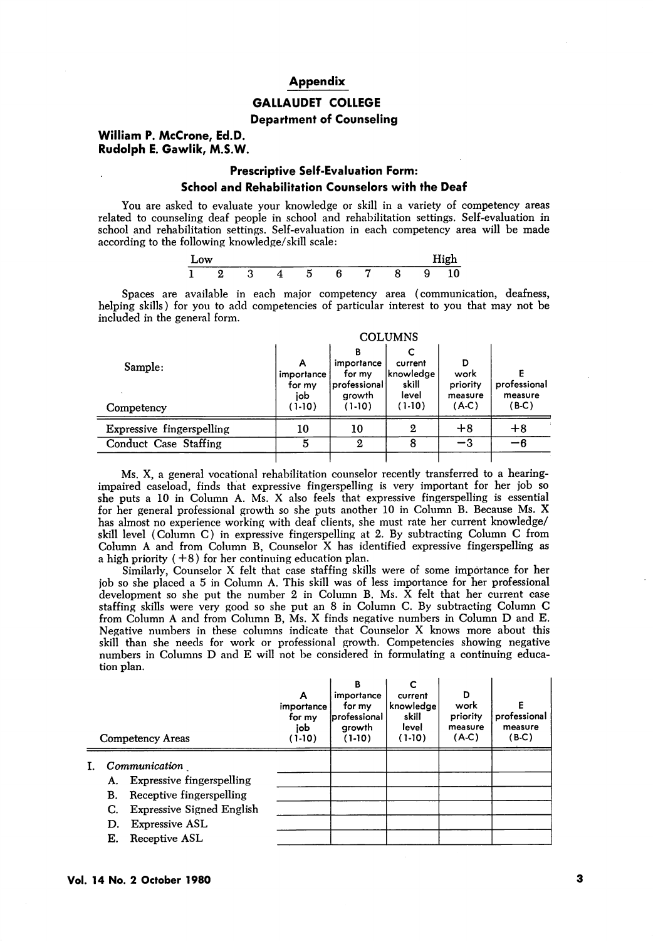#### Appendix

# GALLAUDET COLLEGE

#### Department of Counseling

### William P. McCrone, Ed.D. Rudolph E. Gawlik, M.S.W.

Ē,

## Prescriptive Self-Evaluation Form: School and Rehabilitation Counselors with the Deaf

You are asked to evaluate your knowledge or skill in a variety of competency areas related to counseling deaf people in school and rehabilitation settings. Self-evaluation in school and rehabilitation settings. Self-evaluation in each competency area will be made according to the following knowledge/skill scale:

| -<br>Low |   |   |  |  |   | --<br>nigh |
|----------|---|---|--|--|---|------------|
|          | - | - |  |  | c |            |

Spaces are available in each major competency area (communication, deafness, helping skills) for you to add competencies of particular interest to you that may not be included in the general form.

|                           | <b>COLUMNS</b>                   |                                                     |                                         |                                  |                         |  |  |  |
|---------------------------|----------------------------------|-----------------------------------------------------|-----------------------------------------|----------------------------------|-------------------------|--|--|--|
| Sample:                   | А<br>importance<br>for my<br>iob | в<br>importance<br>for my<br>professional<br>growth | current<br>'knowledge<br>skill<br>level | D<br>work<br>priority<br>measure | professional<br>measure |  |  |  |
| Competency                | $(1-10)$                         | $(1-10)$                                            | $(1-10)$                                | (A-C)                            | $(B-C)$                 |  |  |  |
| Expressive fingerspelling | 10                               | 10                                                  | 2                                       | $+8$                             | $+8$                    |  |  |  |
| Conduct Case Staffing     | 5                                | 2                                                   | 8                                       | -3                               | -6                      |  |  |  |
|                           |                                  |                                                     |                                         |                                  |                         |  |  |  |

Ms. X, a general vocational rehabilitation counselor recently transferred to a hearingimpaired caseload, finds that expressive fingerspelling is very important for her job so she puts a 10 in Column A. Ms. X also feels that expressive fingerspelling is essential for her general professional growth so she puts another 10 in Column B. Because Ms. X has almost no experience working with deaf clients, she must rate her current knowledge/ skill level (Column C) in expressive fingerspelling at 2. By subtracting Column C from Column A and from Column B, Counselor X has identified expressive fingerspelling as a high priority  $(+8)$  for her continuing education plan.

Similarly, Counselor X felt that case staffing skills were of some importance for her job so she placed a 5 in Column A. This skill was of less importance for her professional development so she put the number 2 in Column B. Ms.  $\bar{X}$  felt that her current case staffing skills were very good so she put an 8 in Column C. By subtracting Column C from Column A and from Column B, Ms. X finds negative numbers in Column D and E. Negative numbers in these columns indicate that Counselor X knows more about this skill than she needs for work or professional growth. Competencies showing negative numbers in Columns D and E will not be considered in formulating a continuing educa tion plan.

| Competency Areas                                                                                                                                                                          | А<br>importance<br>for my<br>job<br>(1-10) | в<br>importance<br>for my<br>professional<br>arowth<br>$(1-10)$ | C<br>current<br>knowledge<br>skill<br>level<br>$(1-10)$ | D<br>work<br>priority<br>measure<br>(A.C) | E<br>professional<br>measure<br>(B-C) |
|-------------------------------------------------------------------------------------------------------------------------------------------------------------------------------------------|--------------------------------------------|-----------------------------------------------------------------|---------------------------------------------------------|-------------------------------------------|---------------------------------------|
| Communication<br><b>Expressive fingerspelling</b><br>A.<br>Receptive fingerspelling<br>В.<br><b>Expressive Signed English</b><br>C.<br><b>Expressive ASL</b><br>D.<br>Receptive ASL<br>Е. |                                            |                                                                 |                                                         |                                           |                                       |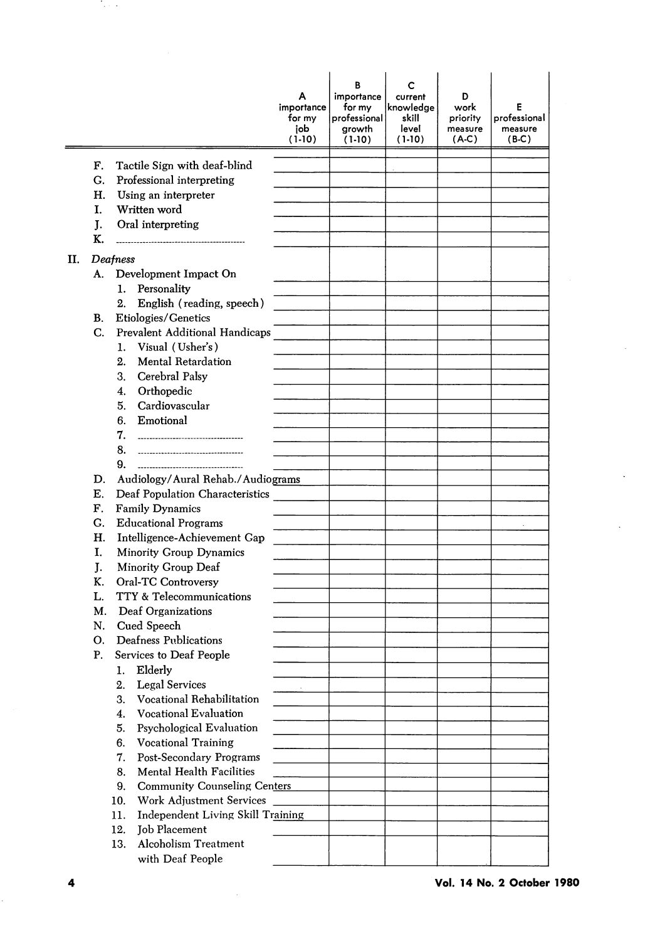|    |    |                                                                 | А<br>importance<br>for my<br>job<br>$(1-10)$ | В<br>importance<br>for my<br>professional<br>growth<br>$(1-10)$ | c<br>current<br>knowledge<br>skill<br>level<br>$(1-10)$ | D<br>work<br>priority<br>measure<br>(A.C) | Ε<br>professional<br>measure<br>$(B-C)$ |
|----|----|-----------------------------------------------------------------|----------------------------------------------|-----------------------------------------------------------------|---------------------------------------------------------|-------------------------------------------|-----------------------------------------|
|    | F. | Tactile Sign with deaf-blind                                    |                                              |                                                                 |                                                         |                                           |                                         |
|    | G. | Professional interpreting                                       |                                              |                                                                 |                                                         |                                           |                                         |
|    | Η. | Using an interpreter                                            |                                              |                                                                 |                                                         |                                           |                                         |
|    | I. | Written word                                                    |                                              |                                                                 |                                                         |                                           |                                         |
|    | J. | Oral interpreting                                               |                                              |                                                                 |                                                         |                                           |                                         |
|    | К. |                                                                 |                                              |                                                                 |                                                         |                                           |                                         |
| П. |    | Deafness                                                        |                                              |                                                                 |                                                         |                                           |                                         |
|    | A. | Development Impact On                                           |                                              |                                                                 |                                                         |                                           |                                         |
|    |    | Personality<br>1.                                               |                                              |                                                                 |                                                         |                                           |                                         |
|    |    | 2.<br>English (reading, speech)                                 |                                              |                                                                 |                                                         |                                           |                                         |
|    | В. | Etiologies/Genetics                                             |                                              |                                                                 |                                                         |                                           |                                         |
|    | C. | Prevalent Additional Handicaps                                  |                                              |                                                                 |                                                         |                                           |                                         |
|    |    | Visual (Usher's)<br>1.                                          |                                              |                                                                 |                                                         |                                           |                                         |
|    |    | <b>Mental Retardation</b><br>2.                                 |                                              |                                                                 |                                                         |                                           |                                         |
|    |    | 3.<br>Cerebral Palsy                                            |                                              |                                                                 |                                                         |                                           |                                         |
|    |    | Orthopedic<br>4.                                                |                                              |                                                                 |                                                         |                                           |                                         |
|    |    | Cardiovascular<br>5.                                            |                                              |                                                                 |                                                         |                                           |                                         |
|    |    | Emotional<br>6.                                                 |                                              |                                                                 |                                                         |                                           |                                         |
|    |    | 7.<br>--------------------------------------                    |                                              |                                                                 |                                                         |                                           |                                         |
|    |    | 8.<br>----------------------------------                        |                                              |                                                                 |                                                         |                                           |                                         |
|    |    | 9.<br>------------------------------------                      |                                              |                                                                 |                                                         |                                           |                                         |
|    | D. | Audiology/Aural Rehab./Audiograms                               |                                              |                                                                 |                                                         |                                           |                                         |
|    | Е. | Deaf Population Characteristics                                 |                                              |                                                                 |                                                         |                                           |                                         |
|    | F. | <b>Family Dynamics</b>                                          |                                              |                                                                 |                                                         |                                           |                                         |
|    | G. | <b>Educational Programs</b>                                     |                                              |                                                                 |                                                         |                                           |                                         |
|    | Н. | Intelligence-Achievement Gap                                    |                                              |                                                                 |                                                         |                                           |                                         |
|    | I. | Minority Group Dynamics                                         |                                              |                                                                 |                                                         |                                           |                                         |
|    | J. | Minority Group Deaf                                             |                                              |                                                                 |                                                         |                                           |                                         |
|    | К. | Oral-TC Controversy                                             |                                              |                                                                 |                                                         |                                           |                                         |
|    | L. | TTY & Telecommunications                                        |                                              |                                                                 |                                                         |                                           |                                         |
|    | M. | Deaf Organizations                                              |                                              |                                                                 |                                                         |                                           |                                         |
|    | N. | Cued Speech                                                     |                                              |                                                                 |                                                         |                                           |                                         |
|    | О. | Deafness Publications                                           |                                              |                                                                 |                                                         |                                           |                                         |
|    | P. | Services to Deaf People                                         |                                              |                                                                 |                                                         |                                           |                                         |
|    |    | Elderly<br>1.                                                   |                                              |                                                                 |                                                         |                                           |                                         |
|    |    | <b>Legal Services</b><br>2.                                     |                                              |                                                                 |                                                         |                                           |                                         |
|    |    | 3.<br>Vocational Rehabilitation                                 |                                              |                                                                 |                                                         |                                           |                                         |
|    |    | <b>Vocational Evaluation</b><br>4.                              |                                              |                                                                 |                                                         |                                           |                                         |
|    |    | Psychological Evaluation<br>5.                                  |                                              |                                                                 |                                                         |                                           |                                         |
|    |    | <b>Vocational Training</b><br>6.                                |                                              |                                                                 |                                                         |                                           |                                         |
|    |    | 7.<br>Post-Secondary Programs<br>Mental Health Facilities<br>8. |                                              |                                                                 |                                                         |                                           |                                         |
|    |    | 9.<br><b>Community Counseling Centers</b>                       |                                              |                                                                 |                                                         |                                           |                                         |
|    |    | Work Adjustment Services<br>10.                                 |                                              |                                                                 |                                                         |                                           |                                         |
|    |    | Independent Living Skill Training<br>11.                        |                                              |                                                                 |                                                         |                                           |                                         |
|    |    | 12.<br>Job Placement                                            |                                              |                                                                 |                                                         |                                           |                                         |
|    |    | <b>Alcoholism Treatment</b><br>13.                              |                                              |                                                                 |                                                         |                                           |                                         |
|    |    | with Deaf People                                                |                                              |                                                                 |                                                         |                                           |                                         |

Taylor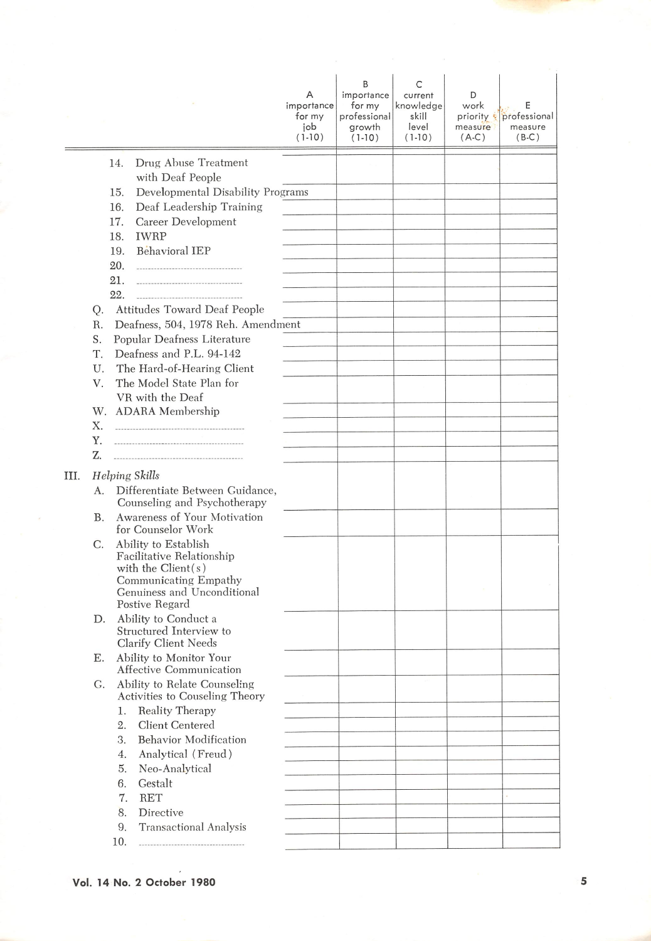|      |    |                                                                | Α<br>importance<br>for my<br>job<br>$(1-10)$ | B<br>importance<br>for my<br>professional<br>growth<br>$(1-10)$ | C<br>current<br>knowledge<br>skill<br>level<br>$(1-10)$ | D<br>work<br>priority &<br>measure<br>$(A-C)$ | Ε<br>professional<br>measure<br>$(B-C)$ |
|------|----|----------------------------------------------------------------|----------------------------------------------|-----------------------------------------------------------------|---------------------------------------------------------|-----------------------------------------------|-----------------------------------------|
|      |    | Drug Abuse Treatment<br>14.<br>with Deaf People                |                                              |                                                                 |                                                         |                                               |                                         |
|      |    | Developmental Disability Programs<br>15.                       |                                              |                                                                 |                                                         |                                               |                                         |
|      |    | 16.<br>Deaf Leadership Training                                |                                              |                                                                 |                                                         |                                               |                                         |
|      |    | 17.<br>Career Development                                      |                                              |                                                                 |                                                         |                                               |                                         |
|      |    | <b>IWRP</b><br>18.                                             |                                              |                                                                 |                                                         |                                               |                                         |
|      |    | Behavioral IEP<br>19.                                          |                                              |                                                                 |                                                         |                                               |                                         |
|      |    | 20.<br>-------------------------------------                   |                                              |                                                                 |                                                         |                                               |                                         |
|      |    | 21.<br>-----------------------------------                     |                                              |                                                                 |                                                         |                                               |                                         |
|      |    | 22.                                                            |                                              |                                                                 |                                                         |                                               |                                         |
|      | Q. | Attitudes Toward Deaf People                                   |                                              |                                                                 |                                                         |                                               |                                         |
|      | R. | Deafness, 504, 1978 Reh. Amendment                             |                                              |                                                                 |                                                         |                                               |                                         |
|      | S. | Popular Deafness Literature                                    |                                              |                                                                 |                                                         |                                               |                                         |
|      | Т. | Deafness and P.L. 94-142                                       |                                              |                                                                 |                                                         |                                               |                                         |
|      | U. | The Hard-of-Hearing Client                                     |                                              |                                                                 |                                                         |                                               |                                         |
|      | V. | The Model State Plan for<br>VR with the Deaf                   |                                              |                                                                 |                                                         |                                               |                                         |
|      | W. | <b>ADARA</b> Membership                                        |                                              |                                                                 |                                                         |                                               |                                         |
|      | Х. |                                                                |                                              |                                                                 |                                                         |                                               |                                         |
|      | Y. |                                                                |                                              |                                                                 |                                                         |                                               |                                         |
|      | Z. | -----------------------------------                            |                                              |                                                                 |                                                         |                                               |                                         |
| III. |    | <b>Helping Skills</b>                                          |                                              |                                                                 |                                                         |                                               |                                         |
|      | А. | Differentiate Between Guidance,                                |                                              |                                                                 |                                                         |                                               |                                         |
|      |    | Counseling and Psychotherapy                                   |                                              |                                                                 |                                                         |                                               |                                         |
|      | Β. | Awareness of Your Motivation                                   |                                              |                                                                 |                                                         |                                               |                                         |
|      |    | for Counselor Work                                             |                                              |                                                                 |                                                         |                                               |                                         |
|      | С. | Ability to Establish                                           |                                              |                                                                 |                                                         |                                               |                                         |
|      |    | Facilitative Relationship<br>with the $Client(s)$              |                                              |                                                                 |                                                         |                                               |                                         |
|      |    | Communicating Empathy                                          |                                              |                                                                 |                                                         |                                               |                                         |
|      |    | Genuiness and Unconditional                                    |                                              |                                                                 |                                                         |                                               |                                         |
|      |    | Postive Regard                                                 |                                              |                                                                 |                                                         |                                               |                                         |
|      | D. | Ability to Conduct a<br>Structured Interview to                |                                              |                                                                 |                                                         |                                               |                                         |
|      |    | Clarify Client Needs                                           |                                              |                                                                 |                                                         |                                               |                                         |
|      | Е. | Ability to Monitor Your                                        |                                              |                                                                 |                                                         |                                               |                                         |
|      |    | <b>Affective Communication</b>                                 |                                              |                                                                 |                                                         |                                               |                                         |
|      | G. | Ability to Relate Counseling<br>Activities to Couseling Theory |                                              |                                                                 |                                                         |                                               |                                         |
|      |    | Reality Therapy<br>1.                                          |                                              |                                                                 |                                                         |                                               |                                         |
|      |    | Client Centered<br>2.                                          |                                              |                                                                 |                                                         |                                               |                                         |
|      |    | <b>Behavior Modification</b><br>3.                             |                                              |                                                                 |                                                         |                                               |                                         |
|      |    | Analytical (Freud)<br>4.                                       |                                              |                                                                 |                                                         |                                               |                                         |
|      |    | 5.<br>Neo-Analytical                                           |                                              |                                                                 |                                                         |                                               |                                         |
|      |    | Gestalt<br>6.                                                  |                                              |                                                                 |                                                         |                                               |                                         |
|      |    | <b>RET</b><br>7.                                               |                                              |                                                                 |                                                         |                                               |                                         |
|      |    | 8.<br>Directive                                                |                                              |                                                                 |                                                         |                                               |                                         |
|      |    | 9.<br><b>Transactional Analysis</b>                            |                                              |                                                                 |                                                         |                                               |                                         |
|      |    | 10.<br>-------------------------------------                   |                                              |                                                                 |                                                         |                                               |                                         |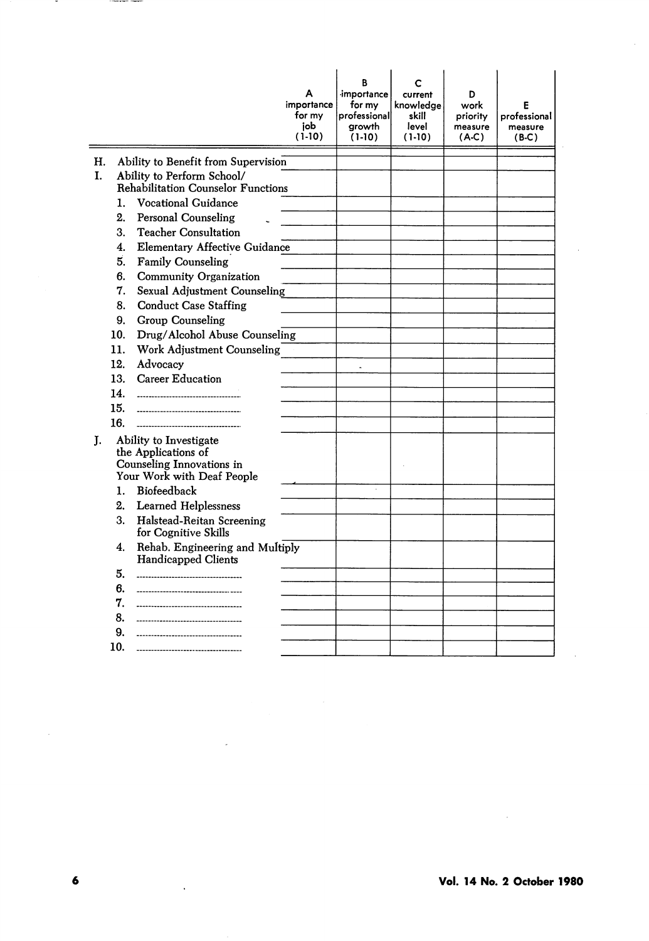|    |                |                                                                                                          | А<br>importance<br>for my<br>iob<br>$(1-10)$ | R<br>importance<br>for my<br>professional<br>growth<br>$(1-10)$ | current<br>knowledae<br>skill<br>level<br>$(1-10)$ | D<br>work<br>priority<br>measure<br>$(A-C)$ | F<br>professional<br>measure<br>$(B-C)$ |
|----|----------------|----------------------------------------------------------------------------------------------------------|----------------------------------------------|-----------------------------------------------------------------|----------------------------------------------------|---------------------------------------------|-----------------------------------------|
| Н. |                | Ability to Benefit from Supervision                                                                      |                                              |                                                                 |                                                    |                                             |                                         |
| L. |                | Ability to Perform School/                                                                               |                                              |                                                                 |                                                    |                                             |                                         |
|    |                | <b>Rehabilitation Counselor Functions</b>                                                                |                                              |                                                                 |                                                    |                                             |                                         |
|    | 1.             | <b>Vocational Guidance</b>                                                                               |                                              |                                                                 |                                                    |                                             |                                         |
|    | 2.             | <b>Personal Counseling</b>                                                                               |                                              |                                                                 |                                                    |                                             |                                         |
|    | 3.             | <b>Teacher Consultation</b>                                                                              |                                              |                                                                 |                                                    |                                             |                                         |
|    | 4.             | <b>Elementary Affective Guidance</b>                                                                     |                                              |                                                                 |                                                    |                                             |                                         |
|    | 5.             | <b>Family Counseling</b>                                                                                 |                                              |                                                                 |                                                    |                                             |                                         |
|    | 6.             | Community Organization                                                                                   |                                              |                                                                 |                                                    |                                             |                                         |
|    | 7.             | Sexual Adjustment Counseling                                                                             |                                              |                                                                 |                                                    |                                             |                                         |
|    | 8.             | <b>Conduct Case Staffing</b>                                                                             |                                              |                                                                 |                                                    |                                             |                                         |
|    | 9.             | Group Counseling                                                                                         |                                              |                                                                 |                                                    |                                             |                                         |
|    | 10.            | Drug/Alcohol Abuse Counseling                                                                            |                                              |                                                                 |                                                    |                                             |                                         |
|    | 11.            | Work Adjustment Counseling                                                                               |                                              |                                                                 |                                                    |                                             |                                         |
|    | 12.            | Advocacy                                                                                                 |                                              | $\tilde{\phantom{a}}$                                           |                                                    |                                             |                                         |
|    | 13.            | <b>Career Education</b>                                                                                  |                                              |                                                                 |                                                    |                                             |                                         |
|    | 14.            | -----------------------------------                                                                      |                                              |                                                                 |                                                    |                                             |                                         |
|    | 15.            | --------------------------------------                                                                   |                                              |                                                                 |                                                    |                                             |                                         |
|    | 16.            |                                                                                                          |                                              |                                                                 |                                                    |                                             |                                         |
| T. |                | Ability to Investigate<br>the Applications of<br>Counseling Innovations in<br>Your Work with Deaf People |                                              |                                                                 |                                                    |                                             |                                         |
|    | $\mathbf{1}$ . | Biofeedback                                                                                              |                                              |                                                                 |                                                    |                                             |                                         |
|    | 2.             | <b>Learned Helplessness</b>                                                                              |                                              |                                                                 |                                                    |                                             |                                         |
|    | 3.             | Halstead-Reitan Screening<br>for Cognitive Skills                                                        |                                              |                                                                 |                                                    |                                             |                                         |
|    | 4.             | Rehab. Engineering and Multiply<br><b>Handicapped Clients</b>                                            |                                              |                                                                 |                                                    |                                             |                                         |
|    | 5.             | -----------------------------                                                                            |                                              |                                                                 |                                                    |                                             |                                         |
|    | 6.             |                                                                                                          |                                              |                                                                 |                                                    |                                             |                                         |
|    | 7.             | ----------------------------                                                                             |                                              |                                                                 |                                                    |                                             |                                         |
|    | 8.             |                                                                                                          |                                              |                                                                 |                                                    |                                             |                                         |
|    | 9.             | ------------------------------                                                                           |                                              |                                                                 |                                                    |                                             |                                         |
|    | 10.            |                                                                                                          |                                              |                                                                 |                                                    |                                             |                                         |

 $\overline{\phantom{a}}$ 

 $\sim 10^{-11}$ 

 $\mathcal{L}^{\text{max}}_{\text{max}}$ 

 $\sim$ 

 $\hat{\mathcal{A}}$ 

 $\overline{\phantom{a}}$